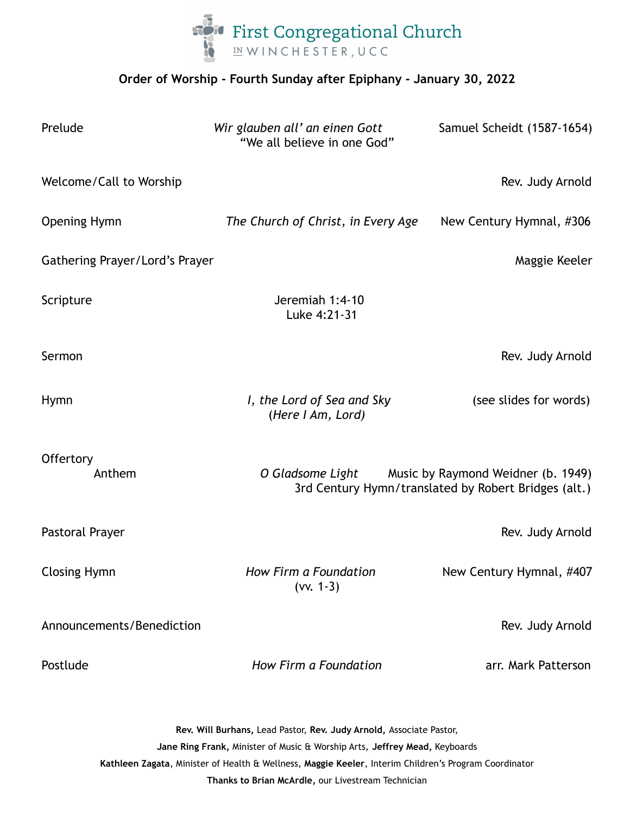

## **Order of Worship - Fourth Sunday after Epiphany - January 30, 2022**

| Prelude                                                                                                                                           | Wir glauben all' an einen Gott<br>"We all believe in one God"                                               | Samuel Scheidt (1587-1654) |
|---------------------------------------------------------------------------------------------------------------------------------------------------|-------------------------------------------------------------------------------------------------------------|----------------------------|
| Welcome/Call to Worship                                                                                                                           |                                                                                                             | Rev. Judy Arnold           |
| Opening Hymn                                                                                                                                      | The Church of Christ, in Every Age                                                                          | New Century Hymnal, #306   |
| Gathering Prayer/Lord's Prayer                                                                                                                    |                                                                                                             | Maggie Keeler              |
| Scripture                                                                                                                                         | Jeremiah 1:4-10<br>Luke 4:21-31                                                                             |                            |
| Sermon                                                                                                                                            |                                                                                                             | Rev. Judy Arnold           |
| <b>Hymn</b>                                                                                                                                       | I, the Lord of Sea and Sky<br>(Here I Am, Lord)                                                             | (see slides for words)     |
| Offertory<br>Anthem                                                                                                                               | O Gladsome Light Music by Raymond Weidner (b. 1949)<br>3rd Century Hymn/translated by Robert Bridges (alt.) |                            |
| Pastoral Prayer                                                                                                                                   |                                                                                                             | Rev. Judy Arnold           |
| <b>Closing Hymn</b>                                                                                                                               | How Firm a Foundation<br>$(vv. 1-3)$                                                                        | New Century Hymnal, #407   |
| Announcements/Benediction                                                                                                                         |                                                                                                             | Rev. Judy Arnold           |
| Postlude                                                                                                                                          | How Firm a Foundation                                                                                       | arr. Mark Patterson        |
| Rev. Will Burhans, Lead Pastor, Rev. Judy Arnold, Associate Pastor,<br>Jane Ring Frank, Minister of Music & Worship Arts, Jeffrey Mead, Keyboards |                                                                                                             |                            |

**Kathleen Zagata**, Minister of Health & Wellness, **Maggie Keeler**, Interim Children's Program Coordinator

**Thanks to Brian McArdle,** our Livestream Technician